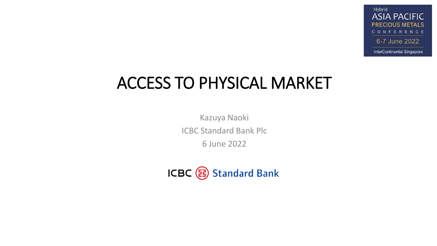Hybrid **ASIA PACIFIC PRECIOUS METALS** CONFERENCE 6-7 June 2022 InterContinental Singapore

# ACCESS TO PHYSICAL MARKET

Kazuya Naoki ICBC Standard Bank Plc 6 June 2022

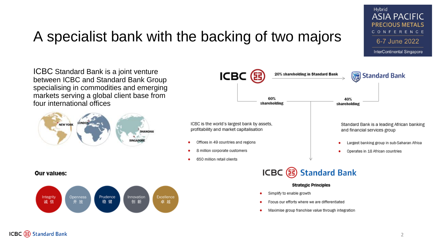## A specialist bank with the backing of two majors

ICBC Standard Bank is a joint venture between ICBC and Standard Bank Group specialising in commodities and emerging markets serving a global client base from four international offices



ICBC (耳 20% shareholding in Standard Bank Standard Bank 60% 40% shareholding shareholding ICBC is the world's largest bank by assets, Standard Bank is a leading African banking profitability and market capitalisation and financial services group Offices in 49 countries and regions Largest banking group in sub-Saharan Africa 8 million corporate customers Operates in 18 African countries 650 million retail clients ICBC ( Standard Bank

#### **Strategic Principles**

- Simplify to enable growth
- Focus our efforts where we are differentiated
- Maximise group franchise value through integration

#### **Our values:**



Hybrid

**ASIA PACIFIC PRECIOUS METALS** CONFERENCE

6-7 June 2022

InterContinental Singapore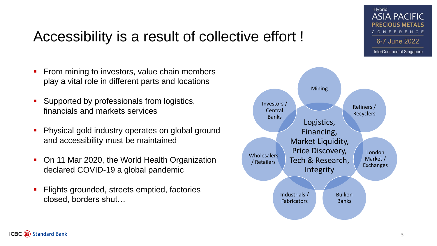## Accessibility is a result of collective effort !

- **From mining to investors, value chain members** play a vital role in different parts and locations
- Supported by professionals from logistics, financials and markets services
- Physical gold industry operates on global ground and accessibility must be maintained
- On 11 Mar 2020, the World Health Organization declared COVID-19 a global pandemic
- Flights grounded, streets emptied, factories closed, borders shut…



Hybrid

**ASIA PACIFIC PRECIOUS METALS** CONFERENCE

6-7 June 2022

InterContinental Singapore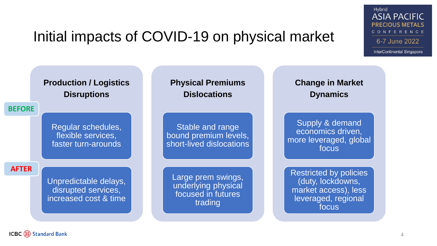## Initial impacts of COVID-19 on physical market



Hybrid

**ASIA PACIFIC PRECIOUS METALS** CONFERENCE

6-7 June 2022

InterContinental Singapore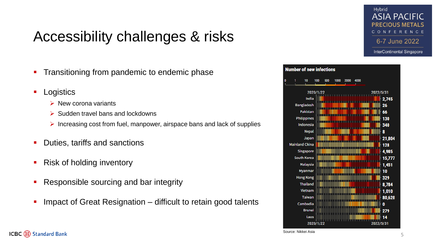## Accessibility challenges & risks

- **Transitioning from pandemic to endemic phase**
- **Logistics** 
	- $\triangleright$  New corona variants
	- $\triangleright$  Sudden travel bans and lockdowns
	- $\triangleright$  Increasing cost from fuel, manpower, airspace bans and lack of supplies
- Duties, tariffs and sanctions
- Risk of holding inventory
- Responsible sourcing and bar integrity
- Impact of Great Resignation difficult to retain good talents



ICBC ( Standard Bank

Source: Nikkei Asia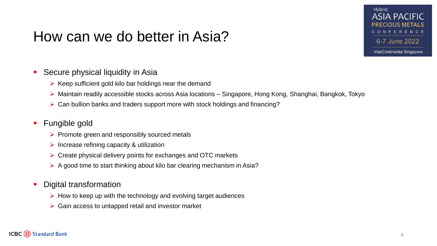### How can we do better in Asia?

### Hybrid **ASIA PACIFIC** CONFERENCE 6-7 June 2022

InterContinental Singapore

#### **Secure physical liquidity in Asia**

- $\triangleright$  Keep sufficient gold kilo bar holdings near the demand
- Maintain readily accessible stocks across Asia locations Singapore, Hong Kong, Shanghai, Bangkok, Tokyo
- $\triangleright$  Can bullion banks and traders support more with stock holdings and financing?

### Fungible gold

- $\triangleright$  Promote green and responsibly sourced metals
- $\triangleright$  Increase refining capacity & utilization
- $\triangleright$  Create physical delivery points for exchanges and OTC markets
- $\triangleright$  A good time to start thinking about kilo bar clearing mechanism in Asia?
- Digital transformation
	- $\triangleright$  How to keep up with the technology and evolving target audiences
	- $\triangleright$  Gain access to untapped retail and investor market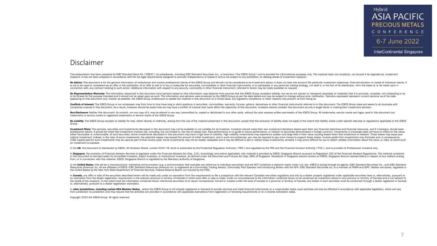#### Hybrid **ASIA PACIFIC PRECIOUS METALS** CONFERENCE 6-7 June 2022

**InterContinental Singapore** 

#### Disclaimer

This presentation has been prepared by ICBC Standard Bank Plc ("ICBCS"), its subsidiaries, including ICBC Standard Securities Inc., or branches ("the ICBCS Group") and is provided for informational purposes only. The mater research. It has not been prepared in accordance with the full legal requirements designed to promote independence of research and is not subject to any prohibition on dealing ahead of investment research.

No Advice: This document is for the general information of institutional and market professional clients of the ICBCS Group and should not be considered to be investment advice. It does not take into account the particular is not to be used or considered as an offer or the solicitation of an offer to sell or to buy or subscribe for securities, commodities or other financial instruments, or to participate in any particular trading strategy, n connection with, any contract relating to such action. Additional information with respect to any security, commodity or other financial instrument, referred to herein may be made available on request.

No Representation/Warranty: The information presented in this document (and opinions based on this information) was obtained from sources that the ICBCS Group considers reliable, but we do not warrant or represent (express to its fitness for the purpose intended and it should not be relied upon as such. The information and opinions were produced by the ICBCS Group as per the date stated and may be subject to change without prior notification appearing on this document only. Insofar as possible, the ICBCS Group endeavours to update the material in this document on a timely basis, but regulatory compliance or other reasons may prevent us from doing so.

Conflicts of Interest: The ICBCS Group or our employees may from time to time have long or short positions in securities, commodities, warrants, futures, options, derivatives or other financial instruments referred to in t companies covered in this document. As a result, investors should be aware that we may have a conflict of interest that could affect the objectivity of this document. Investors should consider this document as only a singl

Non-Disclosure: Neither this document, its content, nor any copy of it, may be altered in any way, transmitted to, copied or distributed to any other party, without the prior express written permission of the ICBCS Group. trademarks or service marks or registered trademarks or service marks of the ICBCS Group.

No Liability: The ICBCS Group accepts no liability for loss, either directly or indirectly, arising from the use of the material presented in this document, except that this exclusion of liability does not apply to the ext Group.

Investment Risks: The services, securities and investments discussed in this document may not be available to nor suitable for all investors. Investors should make their own investment decisions based upon their own financ professional advice. It should be noted that investment involves risk, including, but not limited to, the risk of capital loss. Past performance is no guide to future performance. In relation to securities denominated in f either favourable or unfavourable, of such securities. Some investments discussed in this document may have a high level of volatility. High volatility, investments may experience sudden and large falls in their value caus original investment. Indeed, in the case of some investments, the potential losses may exceed the amount of initial investment, and in such circumstances, you may be required to pay more money to support those losses. Inco initial capital paid for such investments may be used as part of that income yield. Some investments may not be readily realisable and it may be difficult to sell or realize those investments, similarly it may prove diffic an investment is exposed.

In the UK, this document is distributed by ICBCS, 20 Gresham Street, London EC2V 7JE which is authorised by the Prudential Regulation Authority ("PRA") and regulated by the PRA and the Financial Conduct Authority ("FCA"),

In Singapore, the provision of Financial Advisory Services is regulated under the Financial Advisers Act (Cap. 110). Accordingly (and where applicable), this material is provided by ICBCS, Singapore Branch pursuant to Regu in this document is intended solely for Accredited Investors, Expert Investors, or Institutional Investors, as defined under the Securities and Futures Act (Cap. 289) of Singapore. Recipients in Singapore should contact an from, or in connection with this material. ICBCS, Singapore Branch is regulated by the Monetary Authority of Singapore.

In the United States, this will be a macroeconomic marketing communication (e.g. a communication (that excludes any reference to individual securities) and will NOT constitute a research report under U.S. law. ICBCS is act Resources (America) Inc. All are affiliates of ICBCS. ICBC Standard Resources (America) Inc. is registered as a Commodity Trading Advisor, Commodity Pool Operator and Introducing Broker with the NFA. ICBC Standard Securiti the United States by the New York State Department of Financial Services, Federal Reserve Board, nor insured by the FDIC.

In Canada, any offer or sale of the securities described herein will be made only under an exemption from the requirements to file a prospectus with the relevant Canadian securities regulators and only by a dealer properly an exemption from the dealer registration requirement in the relevant province or territory of Canada in which such offer or sale is made. Under no circumstances is the information contained herein to be construed as inves the needs of the recipient. To the extent that the information contained herein references securities of an issuer incorporated, formed or created under the laws of Canada or a province or territory of Canada, any trades i or, alternatively, pursuant to a dealer registration exemption.

In other jurisdictions, including certain EEA Member States, where the ICBCS Group is not already registered or licensed to provide services and trade financial instruments on a cross-border basis, such activities will onl from jurisdiction to jurisdiction and may require that the activities are provided in accordance with applicable exemptions from registration or licensing requirements or on a reverse solicitation basis.

Copyright 2022 the ICBCS Group. All rights reserved.